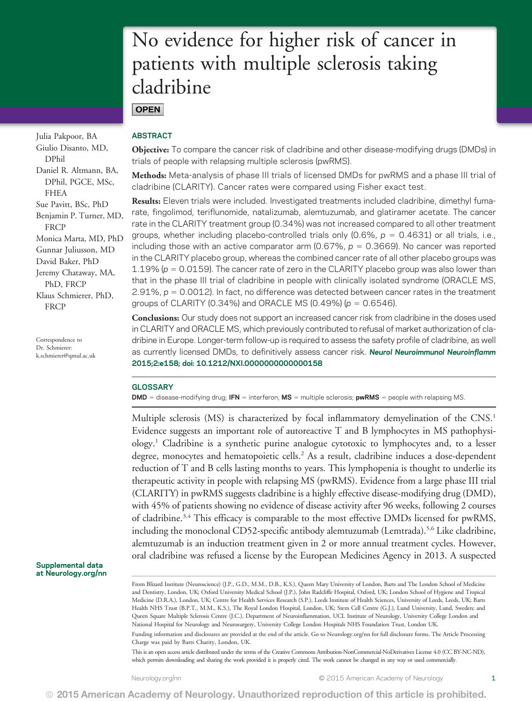# No evidence for higher risk of cancer in patients with multiple sclerosis taking cladribine

**OPEN** 

Julia Pakpoor, BA Giulio Disanto, MD, DPhil Daniel R. Altmann, BA, DPhil, PGCE, MSc, FHEA Sue Pavitt, BSc, PhD Benjamin P. Turner, MD, **FRCP** Monica Marta, MD, PhD Gunnar Juliusson, MD David Baker, PhD Jeremy Chataway, MA, PhD, FRCP Klaus Schmierer, PhD, **FRCP** 

Correspondence to Dr. Schmierer: [k.schmierer@qmul.ac.uk](mailto:k.schmierer@qmul.ac.uk)

### Supplemental data at [Neurology.org/nn](http://nn.neurology.org/lookup/doi/10.1212/NXI.0000000000000158)

# ABSTRACT

Objective: To compare the cancer risk of cladribine and other disease-modifying drugs (DMDs) in trials of people with relapsing multiple sclerosis (pwRMS).

Methods: Meta-analysis of phase III trials of licensed DMDs for pwRMS and a phase III trial of cladribine (CLARITY). Cancer rates were compared using Fisher exact test.

Results: Eleven trials were included. Investigated treatments included cladribine, dimethyl fumarate, fingolimod, teriflunomide, natalizumab, alemtuzumab, and glatiramer acetate. The cancer rate in the CLARITY treatment group (0.34%) was not increased compared to all other treatment groups, whether including placebo-controlled trials only  $(0.6\% , p = 0.4631)$  or all trials, i.e., including those with an active comparator arm (0.67%,  $p = 0.3669$ ). No cancer was reported in the CLARITY placebo group, whereas the combined cancer rate of all other placebo groups was 1.19% ( $p = 0.0159$ ). The cancer rate of zero in the CLARITY placebo group was also lower than that in the phase III trial of cladribine in people with clinically isolated syndrome (ORACLE MS, 2.91%,  $p = 0.0012$ ). In fact, no difference was detected between cancer rates in the treatment groups of CLARITY (0.34%) and ORACLE MS (0.49%) ( $p = 0.6546$ ).

Conclusions: Our study does not support an increased cancer risk from cladribine in the doses used in CLARITY and ORACLE MS, which previously contributed to refusal of market authorization of cladribine in Europe. Longer-term follow-up is required to assess the safety profile of cladribine, as well as currently licensed DMDs, to definitively assess cancer risk. Neurol Neuroimmunol Neuroinflamm 2015;2:e158; doi: 10.1212/NXI.0000000000000158

# **GLOSSARY**

 $DMD =$  disease-modifying drug; IFN = interferon; MS = multiple sclerosis; pwRMS = people with relapsing MS.

Multiple sclerosis (MS) is characterized by focal inflammatory demyelination of the CNS.<sup>1</sup> Evidence suggests an important role of autoreactive T and B lymphocytes in MS pathophysiology.1 Cladribine is a synthetic purine analogue cytotoxic to lymphocytes and, to a lesser degree, monocytes and hematopoietic cells.<sup>2</sup> As a result, cladribine induces a dose-dependent reduction of T and B cells lasting months to years. This lymphopenia is thought to underlie its therapeutic activity in people with relapsing MS (pwRMS). Evidence from a large phase III trial (CLARITY) in pwRMS suggests cladribine is a highly effective disease-modifying drug (DMD), with 45% of patients showing no evidence of disease activity after 96 weeks, following 2 courses of cladribine.<sup>3,4</sup> This efficacy is comparable to the most effective DMDs licensed for pwRMS, including the monoclonal CD52-specific antibody alemtuzumab (Lemtrada).<sup>5,6</sup> Like cladribine, alemtuzumab is an induction treatment given in 2 or more annual treatment cycles. However, oral cladribine was refused a license by the European Medicines Agency in 2013. A suspected

From Blizard Institute (Neuroscience) (J.P., G.D., M.M., D.B., K.S.), Queen Mary University of London, Barts and The London School of Medicine and Dentistry, London, UK; Oxford University Medical School (J.P.), John Radcliffe Hospital, Oxford, UK; London School of Hygiene and Tropical Medicine (D.R.A.), London, UK; Centre for Health Services Research (S.P.), Leeds Institute of Health Sciences, University of Leeds, Leeds, UK; Barts Health NHS Trust (B.P.T., M.M., K.S.), The Royal London Hospital, London, UK; Stem Cell Centre (G.J.), Lund University, Lund, Sweden; and Queen Square Multiple Sclerosis Centre (J.C.), Department of Neuroinflammation, UCL Institute of Neurology, University College London and National Hospital for Neurology and Neurosurgery, University College London Hospitals NHS Foundation Trust, London UK.

Funding information and disclosures are provided at the end of the article. Go to [Neurology.org/nn](http://nn.neurology.org/lookup/doi/10.1212/NXI.0000000000000158) for full disclosure forms. The Article Processing Charge was paid by Barts Charity, London, UK.

This is an open access article distributed under the terms of the [Creative Commons Attribution-NonCommercial-NoDerivatives License 4.0 \(CC BY-NC-ND\)](http://creativecommons.org/licenses/by-nc-nd/4.0/), which permits downloading and sharing the work provided it is properly cited. The work cannot be changed in any way or used commercially.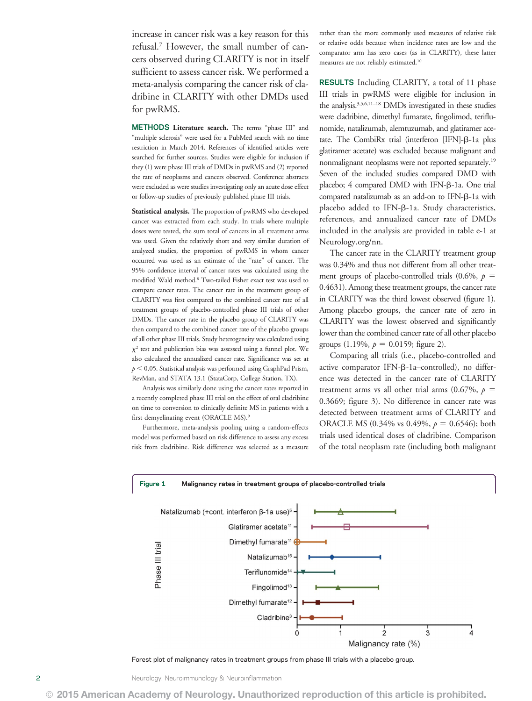increase in cancer risk was a key reason for this refusal.7 However, the small number of cancers observed during CLARITY is not in itself sufficient to assess cancer risk. We performed a meta-analysis comparing the cancer risk of cladribine in CLARITY with other DMDs used for pwRMS.

METHODS Literature search. The terms "phase III" and "multiple sclerosis" were used for a PubMed search with no time restriction in March 2014. References of identified articles were searched for further sources. Studies were eligible for inclusion if they (1) were phase III trials of DMDs in pwRMS and (2) reported the rate of neoplasms and cancers observed. Conference abstracts were excluded as were studies investigating only an acute dose effect or follow-up studies of previously published phase III trials.

Statistical analysis. The proportion of pwRMS who developed cancer was extracted from each study. In trials where multiple doses were tested, the sum total of cancers in all treatment arms was used. Given the relatively short and very similar duration of analyzed studies, the proportion of pwRMS in whom cancer occurred was used as an estimate of the "rate" of cancer. The 95% confidence interval of cancer rates was calculated using the modified Wald method.8 Two-tailed Fisher exact test was used to compare cancer rates. The cancer rate in the treatment group of CLARITY was first compared to the combined cancer rate of all treatment groups of placebo-controlled phase III trials of other DMDs. The cancer rate in the placebo group of CLARITY was then compared to the combined cancer rate of the placebo groups of all other phase III trials. Study heterogeneity was calculated using  $\chi^2$  test and publication bias was assessed using a funnel plot. We also calculated the annualized cancer rate. Significance was set at  $p < 0.05$ . Statistical analysis was performed using GraphPad Prism, RevMan, and STATA 13.1 (StataCorp, College Station, TX).

Analysis was similarly done using the cancer rates reported in a recently completed phase III trial on the effect of oral cladribine on time to conversion to clinically definite MS in patients with a first demyelinating event (ORACLE MS).<sup>9</sup>

Furthermore, meta-analysis pooling using a random-effects model was performed based on risk difference to assess any excess risk from cladribine. Risk difference was selected as a measure rather than the more commonly used measures of relative risk or relative odds because when incidence rates are low and the comparator arm has zero cases (as in CLARITY), these latter measures are not reliably estimated.10

RESULTS Including CLARITY, a total of 11 phase III trials in pwRMS were eligible for inclusion in the analysis.3,5,6,11–<sup>18</sup> DMDs investigated in these studies were cladribine, dimethyl fumarate, fingolimod, teriflunomide, natalizumab, alemtuzumab, and glatiramer acetate. The CombiRx trial (interferon [IFN]- $\beta$ -1a plus glatiramer acetate) was excluded because malignant and nonmalignant neoplasms were not reported separately.19 Seven of the included studies compared DMD with placebo;  $4$  compared DMD with IFN- $\beta$ -1a. One trial compared natalizumab as an add-on to IFN- $\beta$ -1a with placebo added to IFN- $\beta$ -1a. Study characteristics, references, and annualized cancer rate of DMDs included in the analysis are provided in table e-1 at [Neurology.org/nn](http://nn.neurology.org/lookup/doi/10.1212/NXI.0000000000000158).

The cancer rate in the CLARITY treatment group was 0.34% and thus not different from all other treatment groups of placebo-controlled trials (0.6%,  $p =$ 0.4631). Among these treatment groups, the cancer rate in CLARITY was the third lowest observed (figure 1). Among placebo groups, the cancer rate of zero in CLARITY was the lowest observed and significantly lower than the combined cancer rate of all other placebo groups (1.19%,  $p = 0.0159$ ; figure 2).

Comparing all trials (i.e., placebo-controlled and active comparator IFN- $\beta$ -1a–controlled), no difference was detected in the cancer rate of CLARITY treatment arms vs all other trial arms (0.67%,  $p =$ 0.3669; figure 3). No difference in cancer rate was detected between treatment arms of CLARITY and ORACLE MS (0.34% vs 0.49%,  $p = 0.6546$ ); both trials used identical doses of cladribine. Comparison of the total neoplasm rate (including both malignant



Forest plot of malignancy rates in treatment groups from phase III trials with a placebo group.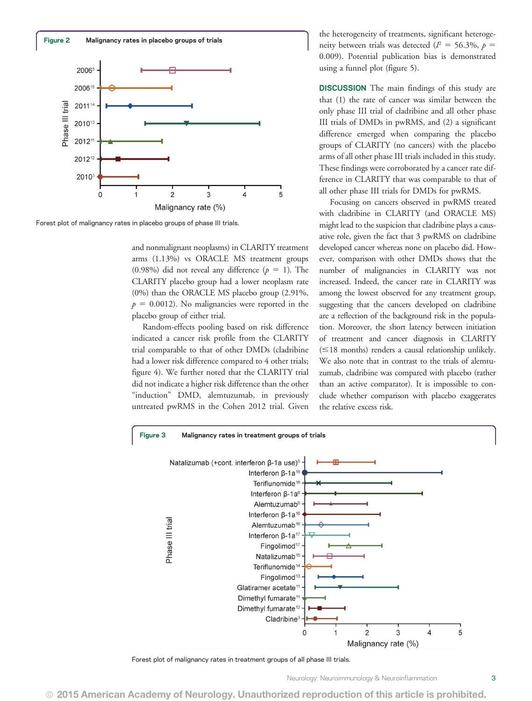

Forest plot of malignancy rates in placebo groups of phase III trials.

and nonmalignant neoplasms) in CLARITY treatment arms (1.13%) vs ORACLE MS treatment groups (0.98%) did not reveal any difference ( $p = 1$ ). The CLARITY placebo group had a lower neoplasm rate (0%) than the ORACLE MS placebo group (2.91%,  $p = 0.0012$ ). No malignancies were reported in the placebo group of either trial.

Random-effects pooling based on risk difference indicated a cancer risk profile from the CLARITY trial comparable to that of other DMDs (cladribine had a lower risk difference compared to 4 other trials; figure 4). We further noted that the CLARITY trial did not indicate a higher risk difference than the other "induction" DMD, alemtuzumab, in previously untreated pwRMS in the Cohen 2012 trial. Given the heterogeneity of treatments, significant heterogeneity between trials was detected ( $l^2 = 56.3\%$ ,  $p =$ 0.009). Potential publication bias is demonstrated using a funnel plot (figure 5).

DISCUSSION The main findings of this study are that (1) the rate of cancer was similar between the only phase III trial of cladribine and all other phase III trials of DMDs in pwRMS, and (2) a significant difference emerged when comparing the placebo groups of CLARITY (no cancers) with the placebo arms of all other phase III trials included in this study. These findings were corroborated by a cancer rate difference in CLARITY that was comparable to that of all other phase III trials for DMDs for pwRMS.

Focusing on cancers observed in pwRMS treated with cladribine in CLARITY (and ORACLE MS) might lead to the suspicion that cladribine plays a causative role, given the fact that 3 pwRMS on cladribine developed cancer whereas none on placebo did. However, comparison with other DMDs shows that the number of malignancies in CLARITY was not increased. Indeed, the cancer rate in CLARITY was among the lowest observed for any treatment group, suggesting that the cancers developed on cladribine are a reflection of the background risk in the population. Moreover, the short latency between initiation of treatment and cancer diagnosis in CLARITY  $(\leq 18$  months) renders a causal relationship unlikely. We also note that in contrast to the trials of alemtuzumab, cladribine was compared with placebo (rather than an active comparator). It is impossible to conclude whether comparison with placebo exaggerates the relative excess risk.



Forest plot of malignancy rates in treatment groups of all phase III trials.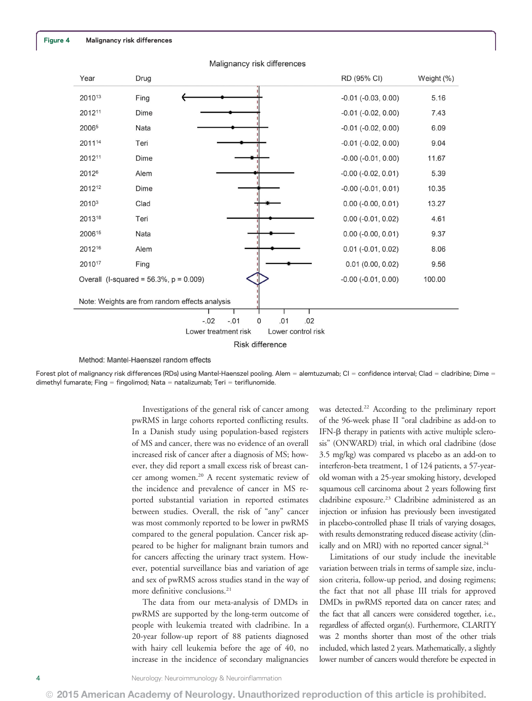| Year                                                                              | Drug |  |  | RD (95% CI)             | Weight (%) |
|-----------------------------------------------------------------------------------|------|--|--|-------------------------|------------|
| 201013                                                                            | Fing |  |  | $-0.01$ $(-0.03, 0.00)$ | 5.16       |
| 201211                                                                            | Dime |  |  | $-0.01$ $(-0.02, 0.00)$ | 7.43       |
| 20065                                                                             | Nata |  |  | $-0.01$ $(-0.02, 0.00)$ | 6.09       |
| 201114                                                                            | Teri |  |  | $-0.01$ $(-0.02, 0.00)$ | 9.04       |
| 201211                                                                            | Dime |  |  | $-0.00$ $(-0.01, 0.00)$ | 11.67      |
| 20126                                                                             | Alem |  |  | $-0.00$ $(-0.02, 0.01)$ | 5.39       |
| 201212                                                                            | Dime |  |  | $-0.00$ $(-0.01, 0.01)$ | 10.35      |
| 20103                                                                             | Clad |  |  | $0.00$ (-0.00, 0.01)    | 13.27      |
| 201318                                                                            | Teri |  |  | $0.00$ (-0.01, 0.02)    | 4.61       |
| 200615                                                                            | Nata |  |  | $0.00$ (-0.00, 0.01)    | 9.37       |
| 201216                                                                            | Alem |  |  | $0.01$ (-0.01, 0.02)    | 8.06       |
| 201017                                                                            | Fing |  |  | 0.01(0.00, 0.02)        | 9.56       |
| Overall (I-squared = $56.3\%$ , $p = 0.009$ )                                     |      |  |  | $-0.00$ $(-0.01, 0.00)$ | 100.00     |
| Note: Weights are from random effects analysis                                    |      |  |  |                         |            |
|                                                                                   |      |  |  |                         |            |
| $-.02$<br>.02<br>$-.01$<br>0<br>.01<br>Lower treatment risk<br>Lower control risk |      |  |  |                         |            |
|                                                                                   |      |  |  |                         |            |
| <b>Risk difference</b>                                                            |      |  |  |                         |            |

Malignancy risk differences

Method: Mantel-Haenszel random effects

Forest plot of malignancy risk differences (RDs) using Mantel-Haenszel pooling. Alem = alemtuzumab; CI = confidence interval; Clad = cladribine; Dime = dimethyl fumarate; Fing = fingolimod; Nata = natalizumab; Teri = teriflunomide

> Investigations of the general risk of cancer among pwRMS in large cohorts reported conflicting results. In a Danish study using population-based registers of MS and cancer, there was no evidence of an overall increased risk of cancer after a diagnosis of MS; however, they did report a small excess risk of breast cancer among women.<sup>20</sup> A recent systematic review of the incidence and prevalence of cancer in MS reported substantial variation in reported estimates between studies. Overall, the risk of "any" cancer was most commonly reported to be lower in pwRMS compared to the general population. Cancer risk appeared to be higher for malignant brain tumors and for cancers affecting the urinary tract system. However, potential surveillance bias and variation of age and sex of pwRMS across studies stand in the way of more definitive conclusions.<sup>21</sup>

> The data from our meta-analysis of DMDs in pwRMS are supported by the long-term outcome of people with leukemia treated with cladribine. In a 20-year follow-up report of 88 patients diagnosed with hairy cell leukemia before the age of 40, no increase in the incidence of secondary malignancies

was detected.<sup>22</sup> According to the preliminary report of the 96-week phase II "oral cladribine as add-on to IFN- $\beta$  therapy in patients with active multiple sclerosis" (ONWARD) trial, in which oral cladribine (dose 3.5 mg/kg) was compared vs placebo as an add-on to interferon-beta treatment, 1 of 124 patients, a 57-yearold woman with a 25-year smoking history, developed squamous cell carcinoma about 2 years following first cladribine exposure.<sup>23</sup> Cladribine administered as an injection or infusion has previously been investigated in placebo-controlled phase II trials of varying dosages, with results demonstrating reduced disease activity (clinically and on MRI) with no reported cancer signal.<sup>24</sup>

Limitations of our study include the inevitable variation between trials in terms of sample size, inclusion criteria, follow-up period, and dosing regimens; the fact that not all phase III trials for approved DMDs in pwRMS reported data on cancer rates; and the fact that all cancers were considered together, i.e., regardless of affected organ(s). Furthermore, CLARITY was 2 months shorter than most of the other trials included, which lasted 2 years. Mathematically, a slightly lower number of cancers would therefore be expected in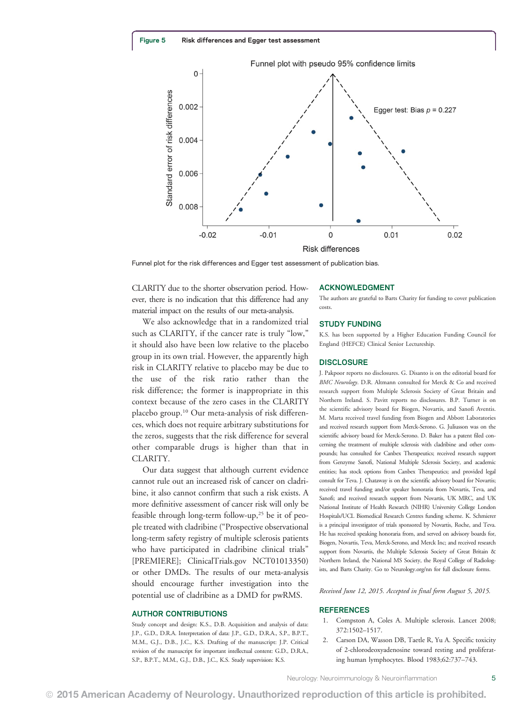

Funnel plot for the risk differences and Egger test assessment of publication bias.

CLARITY due to the shorter observation period. However, there is no indication that this difference had any material impact on the results of our meta-analysis.

We also acknowledge that in a randomized trial such as CLARITY, if the cancer rate is truly "low," it should also have been low relative to the placebo group in its own trial. However, the apparently high risk in CLARITY relative to placebo may be due to the use of the risk ratio rather than the risk difference; the former is inappropriate in this context because of the zero cases in the CLARITY placebo group.10 Our meta-analysis of risk differences, which does not require arbitrary substitutions for the zeros, suggests that the risk difference for several other comparable drugs is higher than that in CLARITY.

Our data suggest that although current evidence cannot rule out an increased risk of cancer on cladribine, it also cannot confirm that such a risk exists. A more definitive assessment of cancer risk will only be feasible through long-term follow-up,25 be it of people treated with cladribine ("Prospective observational long-term safety registry of multiple sclerosis patients who have participated in cladribine clinical trials" [PREMIERE]; [ClinicalTrials.gov](http://ClinicalTrials.gov) NCT01013350) or other DMDs. The results of our meta-analysis should encourage further investigation into the potential use of cladribine as a DMD for pwRMS.

#### AUTHOR CONTRIBUTIONS

Study concept and design: K.S., D.B. Acquisition and analysis of data: J.P., G.D., D.R.A. Interpretation of data: J.P., G.D., D.R.A., S.P., B.P.T., M.M., G.J., D.B., J.C., K.S. Drafting of the manuscript: J.P. Critical revision of the manuscript for important intellectual content: G.D., D.R.A., S.P., B.P.T., M.M., G.J., D.B., J.C., K.S. Study supervision: K.S.

#### ACKNOWLEDGMENT

The authors are grateful to Barts Charity for funding to cover publication costs.

#### STUDY FUNDING

K.S. has been supported by a Higher Education Funding Council for England (HEFCE) Clinical Senior Lectureship.

#### **DISCLOSURE**

J. Pakpoor reports no disclosures. G. Disanto is on the editorial board for BMC Neurology. D.R. Altmann consulted for Merck & Co and received research support from Multiple Sclerosis Society of Great Britain and Northern Ireland. S. Pavitt reports no disclosures. B.P. Turner is on the scientific advisory board for Biogen, Novartis, and Sanofi Aventis. M. Marta received travel funding from Biogen and Abbott Laboratories and received research support from Merck-Serono. G. Juliusson was on the scientific advisory board for Merck-Serono. D. Baker has a patent filed concerning the treatment of multiple sclerosis with cladribine and other compounds; has consulted for Canbex Therapeutics; received research support from Genzyme Sanofi, National Multiple Sclerosis Society, and academic entities; has stock options from Canbex Therapeutics; and provided legal consult for Teva. J. Chataway is on the scientific advisory board for Novartis; received travel funding and/or speaker honoraria from Novartis, Teva, and Sanofi; and received research support from Novartis, UK MRC, and UK National Institute of Health Research (NIHR) University College London Hospitals/UCL Biomedical Research Centres funding scheme. K. Schmierer is a principal investigator of trials sponsored by Novartis, Roche, and Teva. He has received speaking honoraria from, and served on advisory boards for, Biogen, Novartis, Teva, Merck-Serono, and Merck Inc; and received research support from Novartis, the Multiple Sclerosis Society of Great Britain & Northern Ireland, the National MS Society, the Royal College of Radiologists, and Barts Charity. Go to [Neurology.org/nn](http://nn.neurology.org/lookup/doi/10.1212/NXI.0000000000000158) for full disclosure forms.

Received June 12, 2015. Accepted in final form August 5, 2015.

## **REFERENCES**

- 1. Compston A, Coles A. Multiple sclerosis. Lancet 2008; 372:1502–1517.
- 2. Carson DA, Wasson DB, Taetle R, Yu A. Specific toxicity of 2-chlorodeoxyadenosine toward resting and proliferating human lymphocytes. Blood 1983;62:737–743.